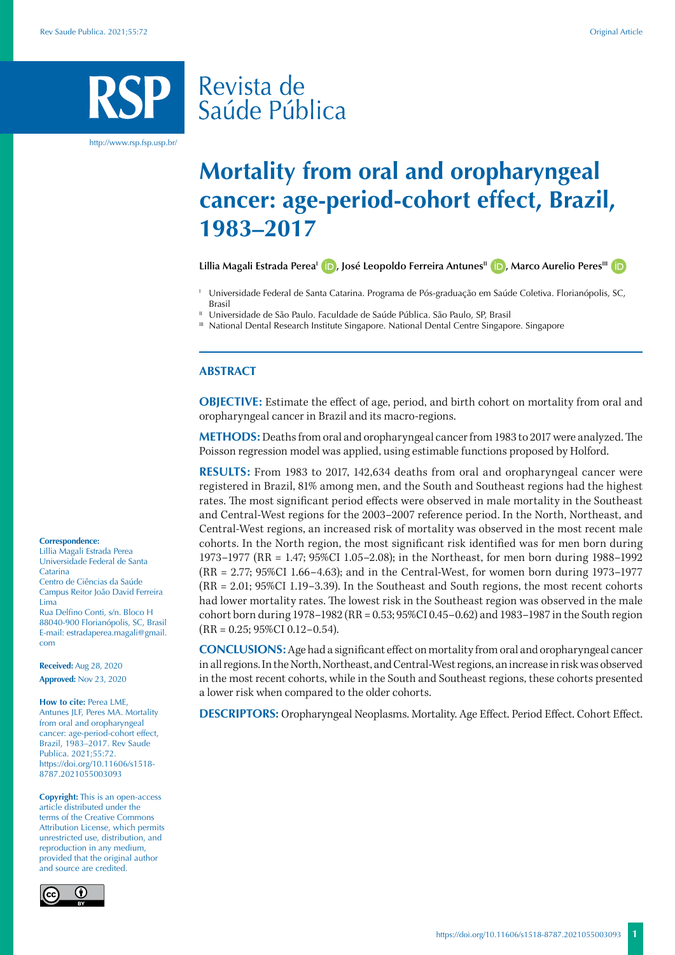# Revista de Saúde Pública

http://www.rsp.fsp.usp.br/

## **Mortality from oral and oropharyngeal cancer: age-period-cohort effect, Brazil, 1983–2017**

Lillia Magali Estrada Perea<sup>l</sup> **(D**)[,](https://orcid.org/0000-0003-3972-9723) José Leopoldo Ferreira Antunes<sup>II</sup> **(D**), Marco Aurelio Peres<sup>III</sup> **(D**)

- Universidade Federal de Santa Catarina. Programa de Pós-graduação em Saúde Coletiva. Florianópolis, SC, Brasil
- Universidade de São Paulo. Faculdade de Saúde Pública. São Paulo, SP, Brasil
- III National Dental Research Institute Singapore. National Dental Centre Singapore. Singapore

### **ABSTRACT**

**OBJECTIVE:** Estimate the effect of age, period, and birth cohort on mortality from oral and oropharyngeal cancer in Brazil and its macro-regions.

**METHODS:** Deaths from oral and oropharyngeal cancer from 1983 to 2017 were analyzed. The Poisson regression model was applied, using estimable functions proposed by Holford.

**RESULTS:** From 1983 to 2017, 142,634 deaths from oral and oropharyngeal cancer were registered in Brazil, 81% among men, and the South and Southeast regions had the highest rates. The most significant period effects were observed in male mortality in the Southeast and Central-West regions for the 2003–2007 reference period. In the North, Northeast, and Central-West regions, an increased risk of mortality was observed in the most recent male cohorts. In the North region, the most significant risk identified was for men born during 1973–1977 (RR = 1.47; 95%CI 1.05–2.08); in the Northeast, for men born during 1988–1992 (RR = 2.77; 95%CI 1.66–4.63); and in the Central-West, for women born during 1973–1977 (RR = 2.01; 95%CI 1.19–3.39). In the Southeast and South regions, the most recent cohorts had lower mortality rates. The lowest risk in the Southeast region was observed in the male cohort born during 1978–1982 (RR = 0.53; 95%CI 0.45–0.62) and 1983–1987 in the South region  $(RR = 0.25; 95\% CI\ 0.12 - 0.54).$ 

**CONCLUSIONS:** Age had a significant effect on mortality from oral and oropharyngeal cancer in all regions. In the North, Northeast, and Central-West regions, an increase in risk was observed in the most recent cohorts, while in the South and Southeast regions, these cohorts presented a lower risk when compared to the older cohorts.

**DESCRIPTORS:** Oropharyngeal Neoplasms. Mortality. Age Effect. Period Effect. Cohort Effect.

#### **Correspondence:**

Lillia Magali Estrada Perea Universidade Federal de Santa Catarina Centro de Ciências da Saúde Campus Reitor João David Ferreira Lima Rua Delfino Conti, s/n. Bloco H 88040-900 Florianópolis, SC, Brasil E-mail: estradaperea.magali@gmail. com

**Received:** Aug 28, 2020 **Approved:** Nov 23, 2020

**How to cite:** Perea LME, Antunes JLF, Peres MA. Mortality from oral and oropharyngeal cancer: age-period-cohort effect, Brazil, 1983–2017. Rev Saude Publica. 2021;55:72. https://doi.org/10.11606/s1518- 8787.2021055003093

**Copyright:** This is an open-access article distributed under the terms of the Creative Commons Attribution License, which permits unrestricted use, distribution, and reproduction in any medium, provided that the original author and source are credited.

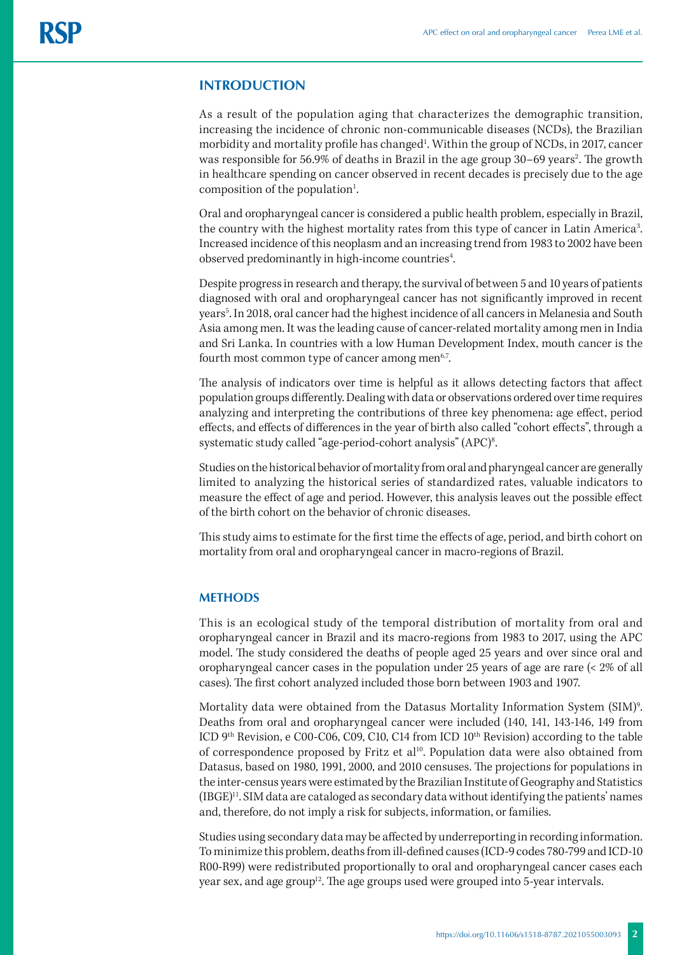## **INTRODUCTION**

As a result of the population aging that characterizes the demographic transition, increasing the incidence of chronic non-communicable diseases (NCDs), the Brazilian morbidity and mortality profile has changed<sup>1</sup>. Within the group of NCDs, in 2017, cancer was responsible for 56.9% of deaths in Brazil in the age group 30–69 years<sup>2</sup>. The growth in healthcare spending on cancer observed in recent decades is precisely due to the age composition of the population<sup>1</sup>. .

Oral and oropharyngeal cancer is considered a public health problem, especially in Brazil, the country with the highest mortality rates from this type of cancer in Latin America<sup>3</sup>. Increased incidence of this neoplasm and an increasing trend from 1983 to 2002 have been observed predominantly in high-income countries<sup>4</sup>. .

Despite progress in research and therapy, the survival of between 5 and 10 years of patients diagnosed with oral and oropharyngeal cancer has not significantly improved in recent years<sup>5</sup>. In 2018, oral cancer had the highest incidence of all cancers in Melanesia and South Asia among men. It was the leading cause of cancer-related mortality among men in India and Sri Lanka. In countries with a low Human Development Index, mouth cancer is the fourth most common type of cancer among men<sup>6,7</sup>.

The analysis of indicators over time is helpful as it allows detecting factors that affect population groups differently. Dealing with data or observations ordered over time requires analyzing and interpreting the contributions of three key phenomena: age effect, period effects, and effects of differences in the year of birth also called "cohort effects", through a systematic study called "age-period-cohort analysis" (APC)8 .

Studies on the historical behavior of mortality from oral and pharyngeal cancer are generally limited to analyzing the historical series of standardized rates, valuable indicators to measure the effect of age and period. However, this analysis leaves out the possible effect of the birth cohort on the behavior of chronic diseases.

This study aims to estimate for the first time the effects of age, period, and birth cohort on mortality from oral and oropharyngeal cancer in macro-regions of Brazil.

#### **METHODS**

This is an ecological study of the temporal distribution of mortality from oral and oropharyngeal cancer in Brazil and its macro-regions from 1983 to 2017, using the APC model. The study considered the deaths of people aged 25 years and over since oral and oropharyngeal cancer cases in the population under 25 years of age are rare (< 2% of all cases). The first cohort analyzed included those born between 1903 and 1907.

Mortality data were obtained from the Datasus Mortality Information System (SIM)9 . Deaths from oral and oropharyngeal cancer were included (140, 141, 143-146, 149 from ICD 9th Revision, e C00-C06, C09, C10, C14 from ICD 10th Revision) according to the table of correspondence proposed by Fritz et al<sup>10</sup>. Population data were also obtained from Datasus, based on 1980, 1991, 2000, and 2010 censuses. The projections for populations in the inter-census years were estimated by the Brazilian Institute of Geography and Statistics (IBGE)11. SIM data are cataloged as secondary data without identifying the patients' names and, therefore, do not imply a risk for subjects, information, or families.

Studies using secondary data may be affected by underreporting in recording information. To minimize this problem, deaths from ill-defined causes (ICD-9 codes 780-799 and ICD-10 R00-R99) were redistributed proportionally to oral and oropharyngeal cancer cases each year sex, and age group<sup>12</sup>. The age groups used were grouped into 5-year intervals.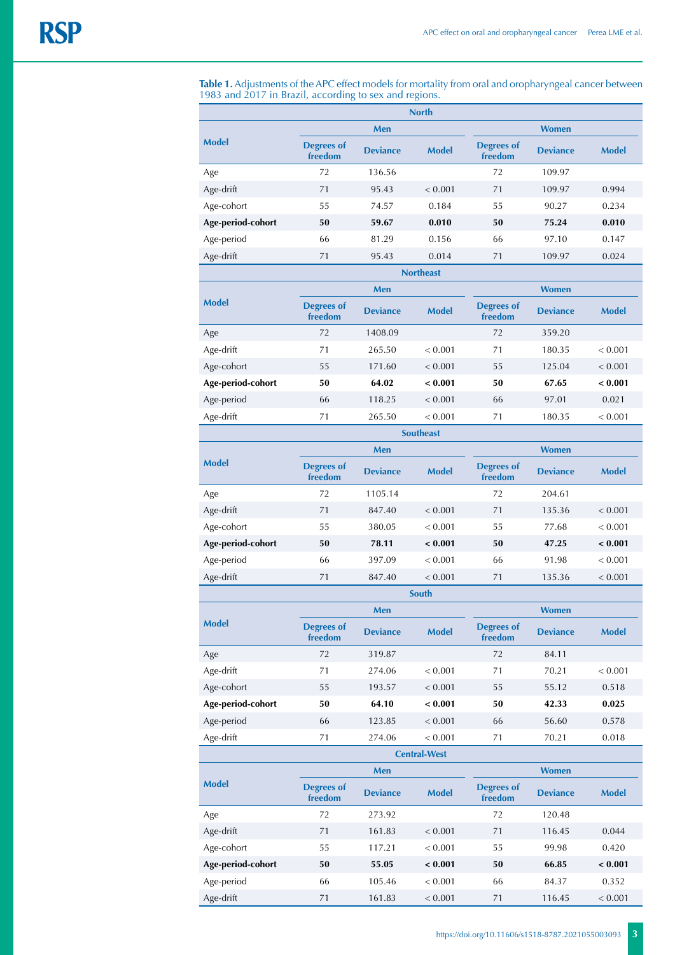**Table 1.** Adjustments of the APC effect models for mortality from oral and oropharyngeal cancer between 1983 and 2017 in Brazil, according to sex and regions.

| <b>North</b>        |                              |                 |              |                              |                 |              |
|---------------------|------------------------------|-----------------|--------------|------------------------------|-----------------|--------------|
|                     | Men                          |                 |              | <b>Women</b>                 |                 |              |
| <b>Model</b>        | <b>Degrees of</b><br>freedom | <b>Deviance</b> | <b>Model</b> | <b>Degrees of</b><br>freedom | <b>Deviance</b> | <b>Model</b> |
| Age                 | 72                           | 136.56          |              | 72                           | 109.97          |              |
| Age-drift           | 71                           | 95.43           | < 0.001      | 71                           | 109.97          | 0.994        |
| Age-cohort          | 55                           | 74.57           | 0.184        | 55                           | 90.27           | 0.234        |
| Age-period-cohort   | 50                           | 59.67           | 0.010        | 50                           | 75.24           | 0.010        |
| Age-period          | 66                           | 81.29           | 0.156        | 66                           | 97.10           | 0.147        |
| Age-drift           | 71                           | 95.43           | 0.014        | 71                           | 109.97          | 0.024        |
| <b>Northeast</b>    |                              |                 |              |                              |                 |              |
| <b>Model</b>        |                              | Men             |              |                              | <b>Women</b>    |              |
|                     | <b>Degrees of</b><br>freedom | <b>Deviance</b> | <b>Model</b> | <b>Degrees of</b><br>freedom | <b>Deviance</b> | <b>Model</b> |
| Age                 | 72                           | 1408.09         |              | 72                           | 359.20          |              |
| Age-drift           | 71                           | 265.50          | < 0.001      | 71                           | 180.35          | < 0.001      |
| Age-cohort          | 55                           | 171.60          | < 0.001      | 55                           | 125.04          | < 0.001      |
| Age-period-cohort   | 50                           | 64.02           | < 0.001      | 50                           | 67.65           | < 0.001      |
| Age-period          | 66                           | 118.25          | < 0.001      | 66                           | 97.01           | 0.021        |
| Age-drift           | 71                           | 265.50          | < 0.001      | 71                           | 180.35          | < 0.001      |
| <b>Southeast</b>    |                              |                 |              |                              |                 |              |
| <b>Model</b>        |                              | Men             |              |                              | <b>Women</b>    |              |
|                     | <b>Degrees of</b><br>freedom | <b>Deviance</b> | <b>Model</b> | <b>Degrees of</b><br>freedom | <b>Deviance</b> | <b>Model</b> |
| Age                 | 72                           | 1105.14         |              | 72                           | 204.61          |              |
| Age-drift           | 71                           | 847.40          | < 0.001      | 71                           | 135.36          | < 0.001      |
| Age-cohort          | 55                           | 380.05          | < 0.001      | 55                           | 77.68           | < 0.001      |
| Age-period-cohort   | 50                           | 78.11           | < 0.001      | 50                           | 47.25           | < 0.001      |
| Age-period          | 66                           | 397.09          | < 0.001      | 66                           | 91.98           | < 0.001      |
| Age-drift           | 71                           | 847.40          | < 0.001      | 71                           | 135.36          | < 0.001      |
| <b>South</b>        |                              |                 |              |                              |                 |              |
| <b>Model</b>        |                              | Men             |              |                              | <b>Women</b>    |              |
|                     | <b>Degrees of</b><br>freedom | <b>Deviance</b> | <b>Model</b> | <b>Degrees of</b><br>freedom | <b>Deviance</b> | <b>Model</b> |
| Age                 | 72                           | 319.87          |              | 72                           | 84.11           |              |
| Age-drift           | 71                           | 274.06          | < 0.001      | 71                           | 70.21           | < 0.001      |
| Age-cohort          | 55                           | 193.57          | < 0.001      | 55                           | 55.12           | 0.518        |
| Age-period-cohort   | 50                           | 64.10           | < 0.001      | 50                           | 42.33           | 0.025        |
| Age-period          | 66                           | 123.85          | < 0.001      | 66                           | 56.60           | 0.578        |
| Age-drift           | $71\,$                       | 274.06          | < 0.001      | 71                           | 70.21           | 0.018        |
| <b>Central-West</b> |                              |                 |              |                              |                 |              |
| <b>Model</b>        |                              | Men             |              |                              | <b>Women</b>    |              |
|                     | <b>Degrees of</b><br>freedom | <b>Deviance</b> | <b>Model</b> | <b>Degrees of</b><br>freedom | <b>Deviance</b> | <b>Model</b> |
| Age                 | 72                           | 273.92          |              | 72                           | 120.48          |              |
| Age-drift           | 71                           | 161.83          | < 0.001      | 71                           | 116.45          | 0.044        |
| Age-cohort          | 55                           | 117.21          | < 0.001      | 55                           | 99.98           | 0.420        |
| Age-period-cohort   | 50                           | 55.05           | < 0.001      | 50                           | 66.85           | < 0.001      |
| Age-period          | 66                           | 105.46          | < 0.001      | 66                           | 84.37           | 0.352        |
| Age-drift           | 71                           | 161.83          | < 0.001      | 71                           | 116.45          | < 0.001      |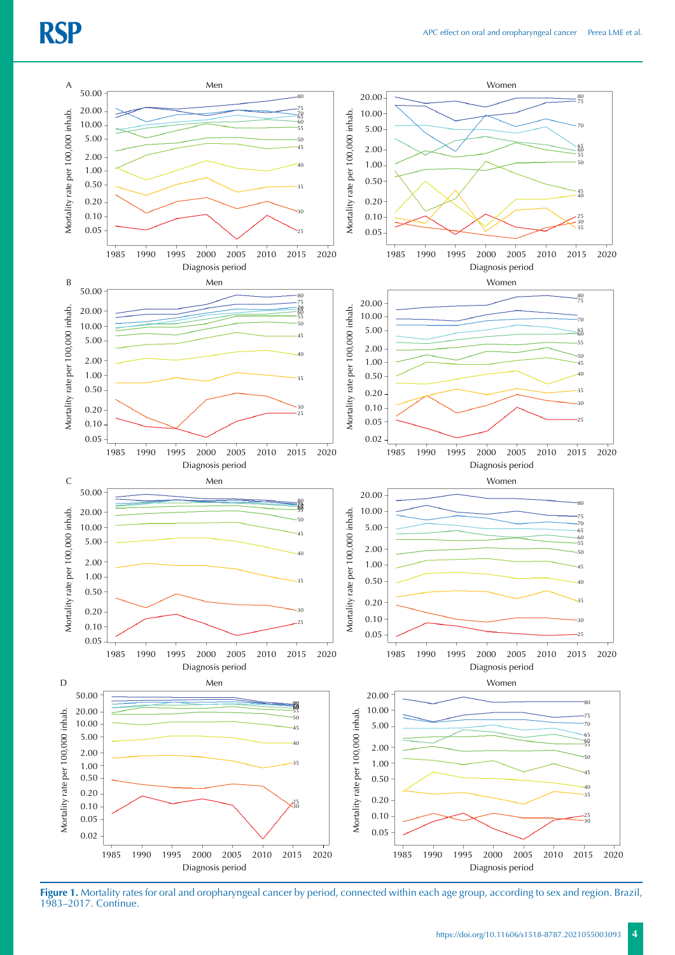

**Figure 1.** Mortality rates for oral and oropharyngeal cancer by period, connected within each age group, according to sex and region. Brazil, 1983–2017. Continue.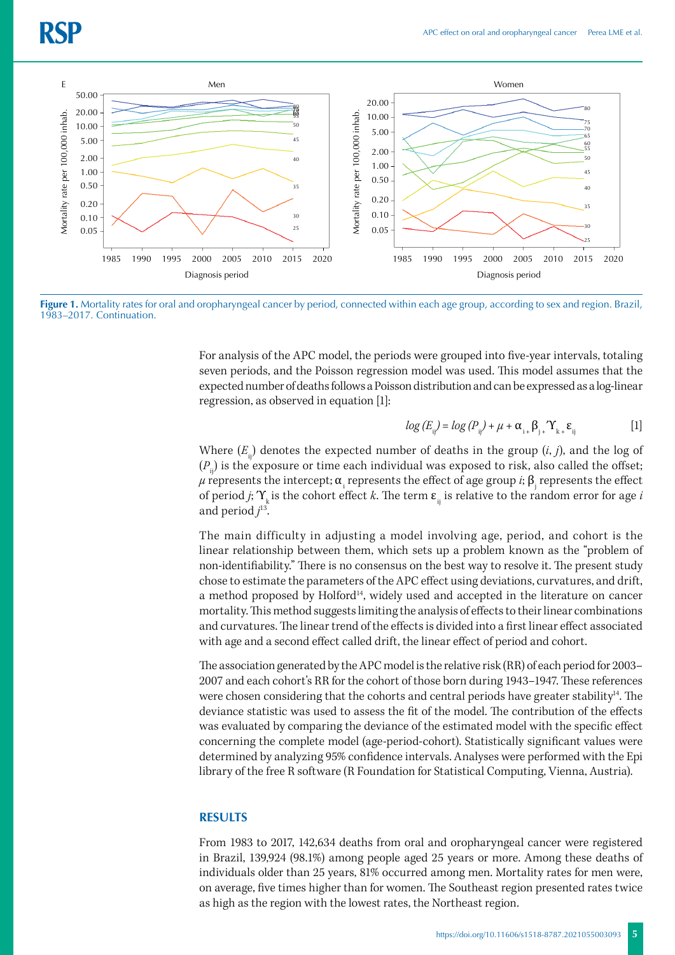

**Figure 1.** Mortality rates for oral and oropharyngeal cancer by period, connected within each age group, according to sex and region. Brazil, 1983-2017. Continuation.

For analysis of the APC model, the periods were grouped into five-year intervals, totaling seven periods, and the Poisson regression model was used. This model assumes that the expected number of deaths follows a Poisson distribution and can be expressed as a log-linear regression, as observed in equation [1]:

$$
log (E_{ij}) = log (P_{ij}) + \mu + \alpha_{i+} \beta_{j+} \Upsilon_{k+} \varepsilon_{ij}
$$
 [1]

Where  $(E_{i,j})$  denotes the expected number of deaths in the group  $(i, j)$ , and the log of  $(P_n)$  is the exposure or time each individual was exposed to risk, also called the offset;  $\mu$  represents the intercept;  $\alpha_{_\mathrm{i}}$  represents the effect of age group *i*;  $\beta_{_\mathrm{j}}$  represents the effect of period *j*;  $\Upsilon_k$  is the cohort effect *k*. The term  $\varepsilon_{ij}$  is relative to the random error for age *i* and period *j* 13.

The main difficulty in adjusting a model involving age, period, and cohort is the linear relationship between them, which sets up a problem known as the "problem of non-identifiability." There is no consensus on the best way to resolve it. The present study chose to estimate the parameters of the APC effect using deviations, curvatures, and drift, a method proposed by Holford<sup>14</sup>, widely used and accepted in the literature on cancer mortality. This method suggests limiting the analysis of effects to their linear combinations and curvatures. The linear trend of the effects is divided into a first linear effect associated with age and a second effect called drift, the linear effect of period and cohort.

The association generated by the APC model is the relative risk (RR) of each period for 2003– 2007 and each cohort's RR for the cohort of those born during 1943–1947. These references were chosen considering that the cohorts and central periods have greater stability<sup>14</sup>. The deviance statistic was used to assess the fit of the model. The contribution of the effects was evaluated by comparing the deviance of the estimated model with the specific effect concerning the complete model (age-period-cohort). Statistically significant values were determined by analyzing 95% confidence intervals. Analyses were performed with the Epi library of the free R software (R Foundation for Statistical Computing, Vienna, Austria).

#### **RESULTS**

From 1983 to 2017, 142,634 deaths from oral and oropharyngeal cancer were registered in Brazil, 139,924 (98.1%) among people aged 25 years or more. Among these deaths of individuals older than 25 years, 81% occurred among men. Mortality rates for men were, on average, five times higher than for women. The Southeast region presented rates twice as high as the region with the lowest rates, the Northeast region.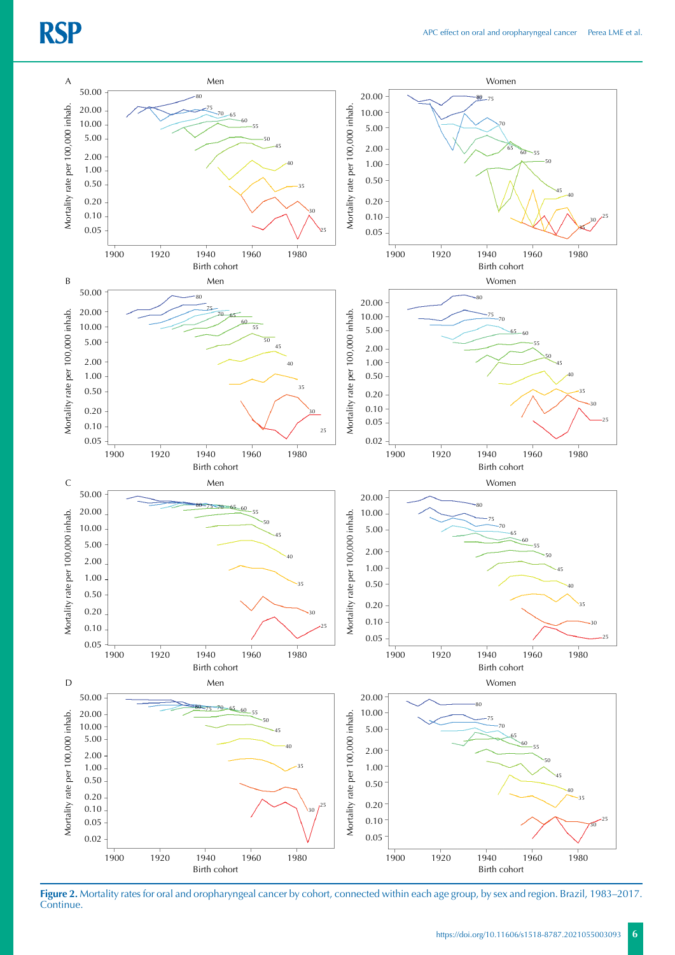

**Figure 2.** Mortality rates for oral and oropharyngeal cancer by cohort, connected within each age group, by sex and region. Brazil, 1983–2017. Continue.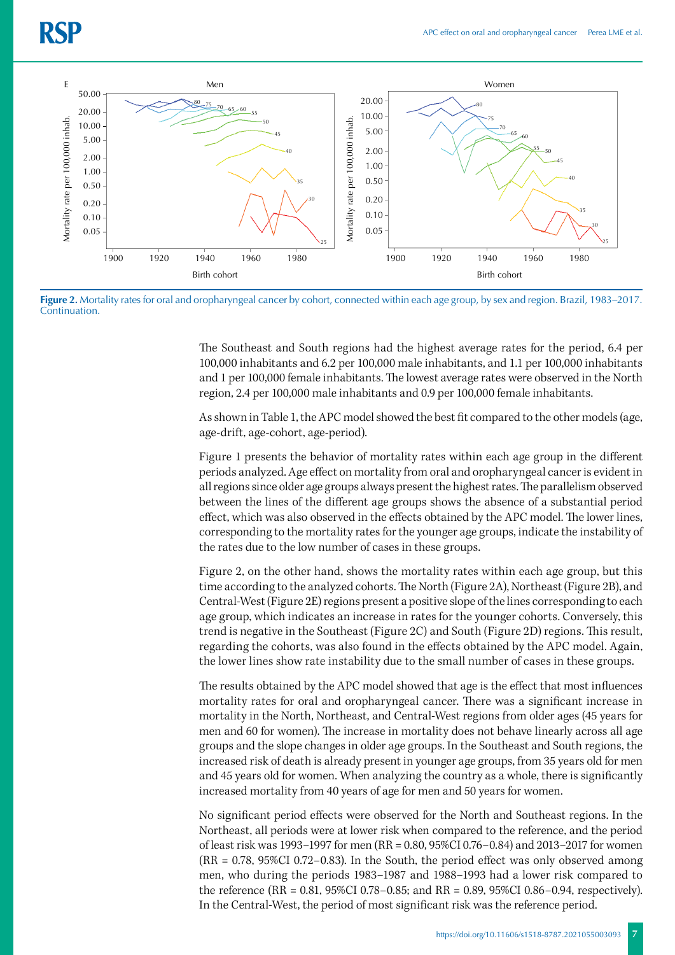

**Figure 2.** Mortality rates for oral and oropharyngeal cancer by cohort, connected within each age group, by sex and region. Brazil, 1983–2017. **Continuation** 

The Southeast and South regions had the highest average rates for the period, 6.4 per 100,000 inhabitants and 6.2 per 100,000 male inhabitants, and 1.1 per 100,000 inhabitants and 1 per 100,000 female inhabitants. The lowest average rates were observed in the North region, 2.4 per 100,000 male inhabitants and 0.9 per 100,000 female inhabitants.

As shown in Table 1, the APC model showed the best fit compared to the other models (age, age-drift, age-cohort, age-period).

Figure 1 presents the behavior of mortality rates within each age group in the different periods analyzed. Age effect on mortality from oral and oropharyngeal cancer is evident in all regions since older age groups always present the highest rates. The parallelism observed between the lines of the different age groups shows the absence of a substantial period effect, which was also observed in the effects obtained by the APC model. The lower lines, corresponding to the mortality rates for the younger age groups, indicate the instability of the rates due to the low number of cases in these groups.

Figure 2, on the other hand, shows the mortality rates within each age group, but this time according to the analyzed cohorts. The North (Figure 2A), Northeast (Figure 2B), and Central-West (Figure 2E) regions present a positive slope of the lines corresponding to each age group, which indicates an increase in rates for the younger cohorts. Conversely, this trend is negative in the Southeast (Figure 2C) and South (Figure 2D) regions. This result, regarding the cohorts, was also found in the effects obtained by the APC model. Again, the lower lines show rate instability due to the small number of cases in these groups.

The results obtained by the APC model showed that age is the effect that most influences mortality rates for oral and oropharyngeal cancer. There was a significant increase in mortality in the North, Northeast, and Central-West regions from older ages (45 years for men and 60 for women). The increase in mortality does not behave linearly across all age groups and the slope changes in older age groups. In the Southeast and South regions, the increased risk of death is already present in younger age groups, from 35 years old for men and 45 years old for women. When analyzing the country as a whole, there is significantly increased mortality from 40 years of age for men and 50 years for women.

No significant period effects were observed for the North and Southeast regions. In the Northeast, all periods were at lower risk when compared to the reference, and the period of least risk was 1993–1997 for men (RR = 0.80, 95%CI 0.76–0.84) and 2013–2017 for women (RR = 0.78, 95%CI 0.72–0.83). In the South, the period effect was only observed among men, who during the periods 1983–1987 and 1988–1993 had a lower risk compared to the reference (RR = 0.81, 95%CI 0.78–0.85; and RR = 0.89, 95%CI 0.86–0.94, respectively). In the Central-West, the period of most significant risk was the reference period.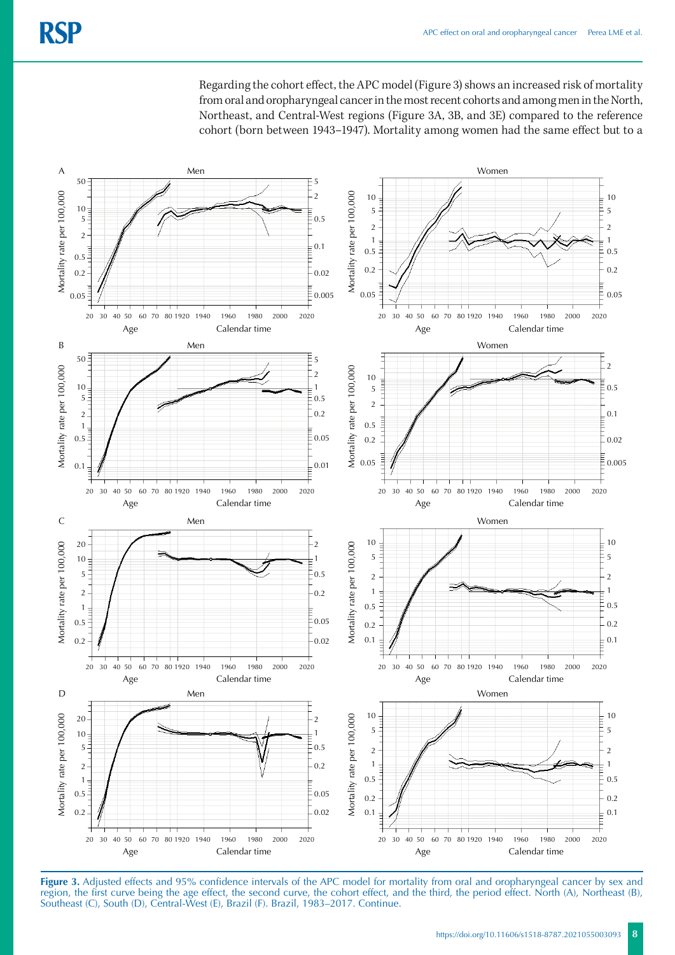Regarding the cohort effect, the APC model (Figure 3) shows an increased risk of mortality from oral and oropharyngeal cancer in the most recent cohorts and among men in the North, Northeast, and Central-West regions (Figure 3A, 3B, and 3E) compared to the reference cohort (born between 1943–1947). Mortality among women had the same effect but to a



**Figure 3.** Adjusted effects and 95% confidence intervals of the APC model for mortality from oral and oropharyngeal cancer by sex and region, the first curve being the age effect, the second curve, the cohort effect, and the third, the period effect. North (A), Northeast (B), Southeast (C), South (D), Central-West (E), Brazil (F). Brazil, 1983–2017. Continue.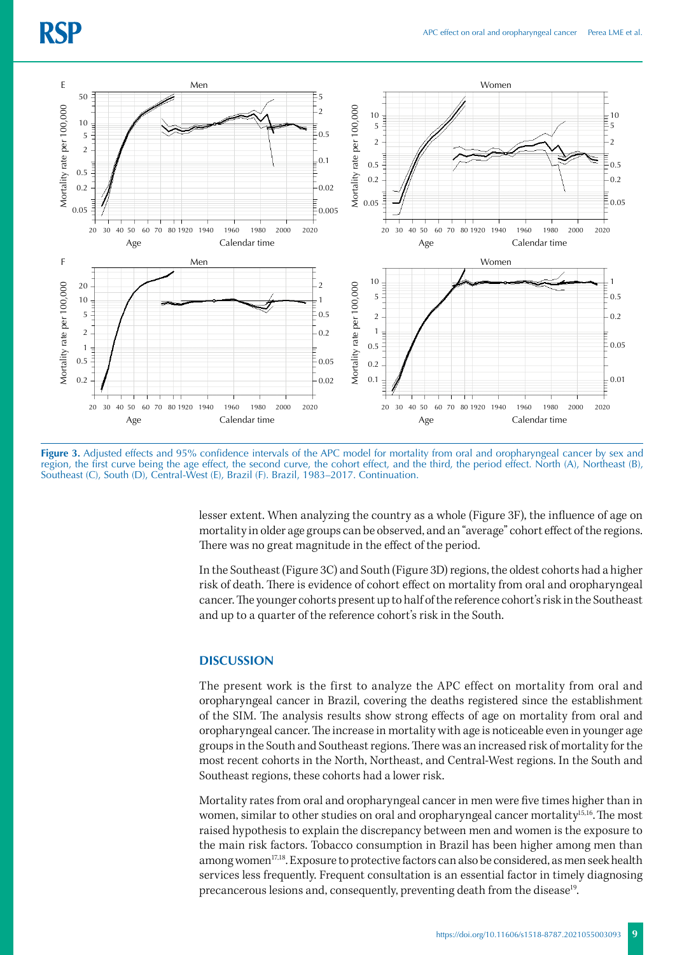

Figure 3. Adjusted effects and 95% confidence intervals of the APC model for mortality from oral and oropharyngeal cancer by sex and region, the first curve being the age effect, the second curve, the cohort effect, and the third, the period effect. North (A), Northeast (B), Southeast (C), South (D), Central-West (E), Brazil (F). Brazil, 1983–2017. Continuation.

lesser extent. When analyzing the country as a whole (Figure 3F), the influence of age on mortality in older age groups can be observed, and an "average" cohort effect of the regions. There was no great magnitude in the effect of the period.

In the Southeast (Figure 3C) and South (Figure 3D) regions, the oldest cohorts had a higher risk of death. There is evidence of cohort effect on mortality from oral and oropharyngeal cancer. The younger cohorts present up to half of the reference cohort's risk in the Southeast and up to a quarter of the reference cohort's risk in the South.

#### **DISCUSSION**

The present work is the first to analyze the APC effect on mortality from oral and oropharyngeal cancer in Brazil, covering the deaths registered since the establishment of the SIM. The analysis results show strong effects of age on mortality from oral and oropharyngeal cancer. The increase in mortality with age is noticeable even in younger age groups in the South and Southeast regions. There was an increased risk of mortality for the most recent cohorts in the North, Northeast, and Central-West regions. In the South and Southeast regions, these cohorts had a lower risk.

Mortality rates from oral and oropharyngeal cancer in men were five times higher than in women, similar to other studies on oral and oropharyngeal cancer mortality<sup>15,16</sup>. The most raised hypothesis to explain the discrepancy between men and women is the exposure to the main risk factors. Tobacco consumption in Brazil has been higher among men than among women<sup>17,18</sup>. Exposure to protective factors can also be considered, as men seek health services less frequently. Frequent consultation is an essential factor in timely diagnosing precancerous lesions and, consequently, preventing death from the disease19.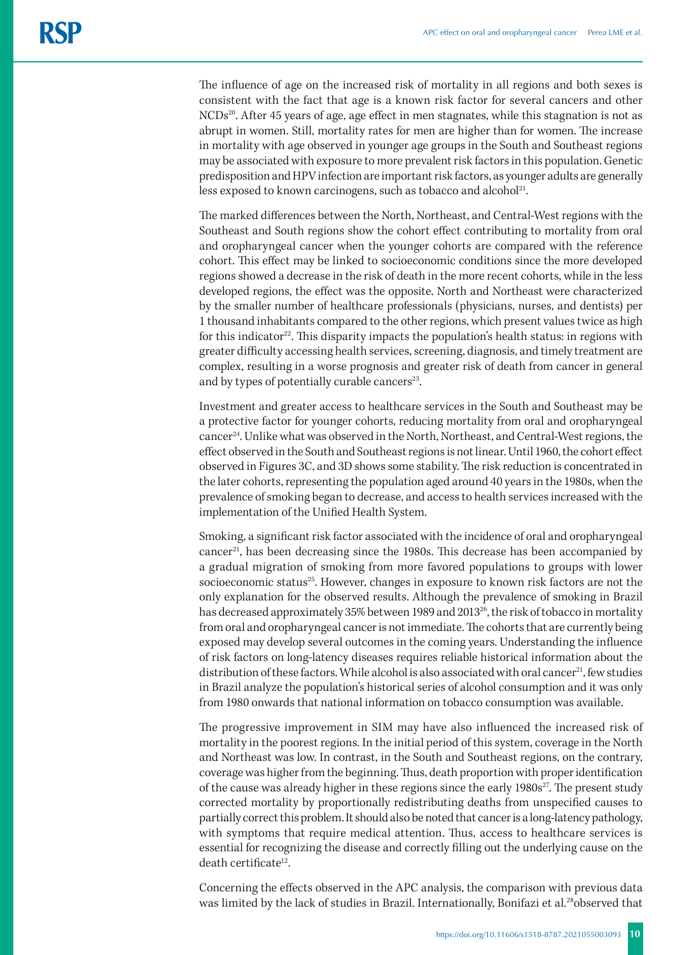The influence of age on the increased risk of mortality in all regions and both sexes is consistent with the fact that age is a known risk factor for several cancers and other NCDs<sup>20</sup>. After 45 years of age, age effect in men stagnates, while this stagnation is not as abrupt in women. Still, mortality rates for men are higher than for women. The increase in mortality with age observed in younger age groups in the South and Southeast regions may be associated with exposure to more prevalent risk factors in this population. Genetic predisposition and HPV infection are important risk factors, as younger adults are generally less exposed to known carcinogens, such as tobacco and alcohol<sup>21</sup>.

The marked differences between the North, Northeast, and Central-West regions with the Southeast and South regions show the cohort effect contributing to mortality from oral and oropharyngeal cancer when the younger cohorts are compared with the reference cohort. This effect may be linked to socioeconomic conditions since the more developed regions showed a decrease in the risk of death in the more recent cohorts, while in the less developed regions, the effect was the opposite. North and Northeast were characterized by the smaller number of healthcare professionals (physicians, nurses, and dentists) per 1 thousand inhabitants compared to the other regions, which present values twice as high for this indicator<sup>22</sup>. This disparity impacts the population's health status: in regions with greater difficulty accessing health services, screening, diagnosis, and timely treatment are complex, resulting in a worse prognosis and greater risk of death from cancer in general and by types of potentially curable cancers<sup>23</sup>.

Investment and greater access to healthcare services in the South and Southeast may be a protective factor for younger cohorts, reducing mortality from oral and oropharyngeal cancer24. Unlike what was observed in the North, Northeast, and Central-West regions, the effect observed in the South and Southeast regions is not linear. Until 1960, the cohort effect observed in Figures 3C, and 3D shows some stability. The risk reduction is concentrated in the later cohorts, representing the population aged around 40 years in the 1980s, when the prevalence of smoking began to decrease, and access to health services increased with the implementation of the Unified Health System.

Smoking, a significant risk factor associated with the incidence of oral and oropharyngeal  $cancer<sup>21</sup>$ , has been decreasing since the 1980s. This decrease has been accompanied by a gradual migration of smoking from more favored populations to groups with lower socioeconomic status<sup>25</sup>. However, changes in exposure to known risk factors are not the only explanation for the observed results. Although the prevalence of smoking in Brazil has decreased approximately 35% between 1989 and 2013<sup>26</sup>, the risk of tobacco in mortality from oral and oropharyngeal cancer is not immediate. The cohorts that are currently being exposed may develop several outcomes in the coming years. Understanding the influence of risk factors on long-latency diseases requires reliable historical information about the distribution of these factors. While alcohol is also associated with oral cancer<sup>21</sup>, few studies in Brazil analyze the population's historical series of alcohol consumption and it was only from 1980 onwards that national information on tobacco consumption was available.

The progressive improvement in SIM may have also influenced the increased risk of mortality in the poorest regions. In the initial period of this system, coverage in the North and Northeast was low. In contrast, in the South and Southeast regions, on the contrary, coverage was higher from the beginning. Thus, death proportion with proper identification of the cause was already higher in these regions since the early  $1980s^{27}$ . The present study corrected mortality by proportionally redistributing deaths from unspecified causes to partially correct this problem. It should also be noted that cancer is a long-latency pathology, with symptoms that require medical attention. Thus, access to healthcare services is essential for recognizing the disease and correctly filling out the underlying cause on the  $death$  certificate<sup>12</sup>.

Concerning the effects observed in the APC analysis, the comparison with previous data was limited by the lack of studies in Brazil. Internationally, Bonifazi et al.<sup>28</sup>observed that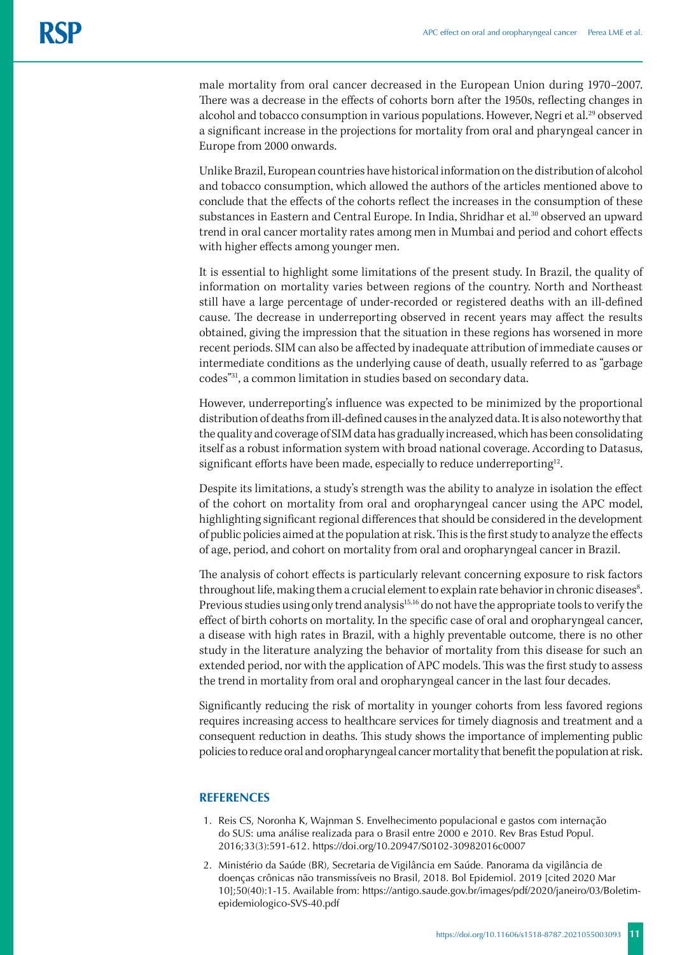male mortality from oral cancer decreased in the European Union during 1970–2007. There was a decrease in the effects of cohorts born after the 1950s, reflecting changes in alcohol and tobacco consumption in various populations. However, Negri et al.<sup>29</sup> observed a significant increase in the projections for mortality from oral and pharyngeal cancer in Europe from 2000 onwards.

Unlike Brazil, European countries have historical information on the distribution of alcohol and tobacco consumption, which allowed the authors of the articles mentioned above to conclude that the effects of the cohorts reflect the increases in the consumption of these substances in Eastern and Central Europe. In India, Shridhar et al.<sup>30</sup> observed an upward trend in oral cancer mortality rates among men in Mumbai and period and cohort effects with higher effects among younger men.

It is essential to highlight some limitations of the present study. In Brazil, the quality of information on mortality varies between regions of the country. North and Northeast still have a large percentage of under-recorded or registered deaths with an ill-defined cause. The decrease in underreporting observed in recent years may affect the results obtained, giving the impression that the situation in these regions has worsened in more recent periods. SIM can also be affected by inadequate attribution of immediate causes or intermediate conditions as the underlying cause of death, usually referred to as "garbage codes"31, a common limitation in studies based on secondary data.

However, underreporting's influence was expected to be minimized by the proportional distribution of deaths from ill-defined causes in the analyzed data. It is also noteworthy that the quality and coverage of SIM data has gradually increased, which has been consolidating itself as a robust information system with broad national coverage. According to Datasus, significant efforts have been made, especially to reduce underreporting<sup>12</sup>.

Despite its limitations, a study's strength was the ability to analyze in isolation the effect of the cohort on mortality from oral and oropharyngeal cancer using the APC model, highlighting significant regional differences that should be considered in the development of public policies aimed at the population at risk. This is the first study to analyze the effects of age, period, and cohort on mortality from oral and oropharyngeal cancer in Brazil.

The analysis of cohort effects is particularly relevant concerning exposure to risk factors throughout life, making them a crucial element to explain rate behavior in chronic diseases $^{\rm 8}.$ Previous studies using only trend analysis<sup>15,16</sup> do not have the appropriate tools to verify the effect of birth cohorts on mortality. In the specific case of oral and oropharyngeal cancer, a disease with high rates in Brazil, with a highly preventable outcome, there is no other study in the literature analyzing the behavior of mortality from this disease for such an extended period, nor with the application of APC models. This was the first study to assess the trend in mortality from oral and oropharyngeal cancer in the last four decades.

Significantly reducing the risk of mortality in younger cohorts from less favored regions requires increasing access to healthcare services for timely diagnosis and treatment and a consequent reduction in deaths. This study shows the importance of implementing public policies to reduce oral and oropharyngeal cancer mortality that benefit the population at risk.

#### **REFERENCES**

- 1. Reis CS, Noronha K, Wajnman S. Envelhecimento populacional e gastos com internação do SUS: uma análise realizada para o Brasil entre 2000 e 2010. Rev Bras Estud Popul. 2016;33(3):591-612. https://doi.org/10.20947/S0102-30982016c0007
- 2. Ministério da Saúde (BR), Secretaria de Vigilância em Saúde. Panorama da vigilância de doenças crônicas não transmissíveis no Brasil, 2018. Bol Epidemiol. 2019 [cited 2020 Mar 10];50(40):1-15. Available from: https://antigo.saude.gov.br/images/pdf/2020/janeiro/03/Boletimepidemiologico-SVS-40.pdf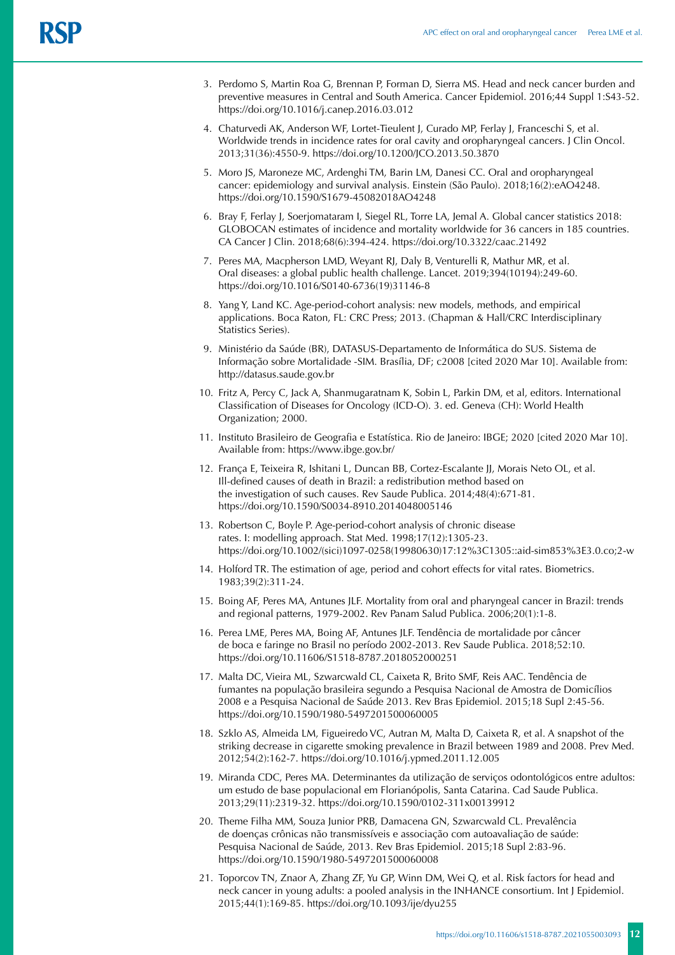- 3. Perdomo S, Martin Roa G, Brennan P, Forman D, Sierra MS. Head and neck cancer burden and preventive measures in Central and South America. Cancer Epidemiol. 2016;44 Suppl 1:S43-52. https://doi.org/10.1016/j.canep.2016.03.012
- 4. Chaturvedi AK, Anderson WF, Lortet-Tieulent J, Curado MP, Ferlay J, Franceschi S, et al. Worldwide trends in incidence rates for oral cavity and oropharyngeal cancers. J Clin Oncol. 2013;31(36):4550-9. https://doi.org/10.1200/JCO.2013.50.3870
- 5. Moro JS, Maroneze MC, Ardenghi TM, Barin LM, Danesi CC. Oral and oropharyngeal cancer: epidemiology and survival analysis. Einstein (São Paulo). 2018;16(2):eAO4248. https://doi.org/10.1590/S1679-45082018AO4248
- 6. Bray F, Ferlay J, Soerjomataram I, Siegel RL, Torre LA, Jemal A. Global cancer statistics 2018: GLOBOCAN estimates of incidence and mortality worldwide for 36 cancers in 185 countries. CA Cancer J Clin. 2018;68(6):394-424. https://doi.org/10.3322/caac.21492
- 7. Peres MA, Macpherson LMD, Weyant RJ, Daly B, Venturelli R, Mathur MR, et al. Oral diseases: a global public health challenge. Lancet. 2019;394(10194):249-60. https://doi.org/10.1016/S0140-6736(19)31146-8
- 8. Yang Y, Land KC. Age-period-cohort analysis: new models, methods, and empirical applications. Boca Raton, FL: CRC Press; 2013. (Chapman & Hall/CRC Interdisciplinary Statistics Series).
- 9. Ministério da Saúde (BR), DATASUS-Departamento de Informática do SUS. Sistema de Informação sobre Mortalidade -SIM. Brasília, DF; c2008 [cited 2020 Mar 10]. Available from: http://datasus.saude.gov.br
- 10. Fritz A, Percy C, Jack A, Shanmugaratnam K, Sobin L, Parkin DM, et al, editors. International Classification of Diseases for Oncology (ICD-O). 3. ed. Geneva (CH): World Health Organization; 2000.
- 11. Instituto Brasileiro de Geografia e Estatística. Rio de Janeiro: IBGE; 2020 [cited 2020 Mar 10]. Available from: https://www.ibge.gov.br/
- 12. França E, Teixeira R, Ishitani L, Duncan BB, Cortez-Escalante JJ, Morais Neto OL, et al. Ill-defined causes of death in Brazil: a redistribution method based on the investigation of such causes. Rev Saude Publica. 2014;48(4):671-81. https://doi.org/10.1590/S0034-8910.2014048005146
- 13. Robertson C, Boyle P. Age-period-cohort analysis of chronic disease rates. I: modelling approach. Stat Med. 1998;17(12):1305-23. https://doi.org/10.1002/(sici)1097-0258(19980630)17:12%3C1305::aid-sim853%3E3.0.co;2-w
- 14. Holford TR. The estimation of age, period and cohort effects for vital rates. Biometrics. 1983;39(2):311-24.
- 15. Boing AF, Peres MA, Antunes JLF. Mortality from oral and pharyngeal cancer in Brazil: trends and regional patterns, 1979-2002. Rev Panam Salud Publica. 2006;20(1):1-8.
- 16. Perea LME, Peres MA, Boing AF, Antunes JLF. Tendência de mortalidade por câncer de boca e faringe no Brasil no período 2002-2013. Rev Saude Publica. 2018;52:10. https://doi.org/10.11606/S1518-8787.2018052000251
- 17. Malta DC, Vieira ML, Szwarcwald CL, Caixeta R, Brito SMF, Reis AAC. Tendência de fumantes na população brasileira segundo a Pesquisa Nacional de Amostra de Domicílios 2008 e a Pesquisa Nacional de Saúde 2013. Rev Bras Epidemiol. 2015;18 Supl 2:45-56. https://doi.org/10.1590/1980-5497201500060005
- 18. Szklo AS, Almeida LM, Figueiredo VC, Autran M, Malta D, Caixeta R, et al. A snapshot of the striking decrease in cigarette smoking prevalence in Brazil between 1989 and 2008. Prev Med. 2012;54(2):162-7. https://doi.org/10.1016/j.ypmed.2011.12.005
- 19. Miranda CDC, Peres MA. Determinantes da utilização de serviços odontológicos entre adultos: um estudo de base populacional em Florianópolis, Santa Catarina. Cad Saude Publica. 2013;29(11):2319-32. https://doi.org/10.1590/0102-311x00139912
- 20. Theme Filha MM, Souza Junior PRB, Damacena GN, Szwarcwald CL. Prevalência de doenças crônicas não transmissíveis e associação com autoavaliação de saúde: Pesquisa Nacional de Saúde, 2013. Rev Bras Epidemiol. 2015;18 Supl 2:83-96. https://doi.org/10.1590/1980-5497201500060008
- 21. Toporcov TN, Znaor A, Zhang ZF, Yu GP, Winn DM, Wei Q, et al. Risk factors for head and neck cancer in young adults: a pooled analysis in the INHANCE consortium. Int J Epidemiol. 2015;44(1):169-85. https://doi.org/10.1093/ije/dyu255